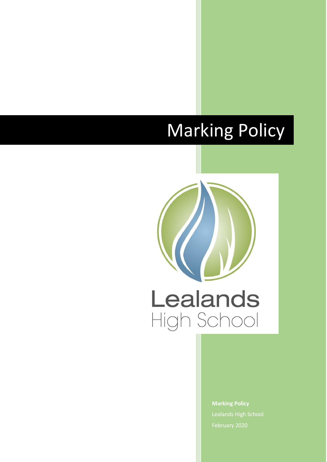# Marking Policy



**Marking Policy** Lealands High School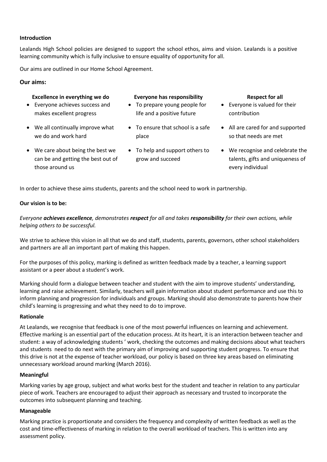#### **Introduction**

Lealands High School policies are designed to support the school ethos, aims and vision. Lealands is a positive learning community which is fully inclusive to ensure equality of opportunity for all.

Our aims are outlined in our Home School Agreement.

# **Our aims:**

#### **Excellence in everything we do <b>Everyone has responsibility Respect for all**

- Everyone achieves success and makes excellent progress
- We all continually improve what we do and work hard
- We care about being the best we can be and getting the best out of those around us

- To prepare young people for life and a positive future
- To ensure that school is a safe place
- To help and support others to grow and succeed

- Everyone is valued for their contribution
- All are cared for and supported so that needs are met
- We recognise and celebrate the talents, gifts and uniqueness of every individual

In order to achieve these aims students, parents and the school need to work in partnership.

#### **Our vision is to be:**

*Everyone achieves excellence, demonstrates respect for all and takes responsibility for their own actions, while helping others to be successful.*

We strive to achieve this vision in all that we do and staff, students, parents, governors, other school stakeholders and partners are all an important part of making this happen.

For the purposes of this policy, marking is defined as written feedback made by a teacher, a learning support assistant or a peer about a student's work.

Marking should form a dialogue between teacher and student with the aim to improve students' understanding, learning and raise achievement. Similarly, teachers will gain information about student performance and use this to inform planning and progression for individuals and groups. Marking should also demonstrate to parents how their child's learning is progressing and what they need to do to improve.

#### **Rationale**

At Lealands, we recognise that feedback is one of the most powerful influences on learning and achievement. Effective marking is an essential part of the education process. At its heart, it is an interaction between teacher and student: a way of acknowledging students ' work, checking the outcomes and making decisions about what teachers and students need to do next with the primary aim of improving and supporting student progress. To ensure that this drive is not at the expense of teacher workload, our policy is based on three key areas based on eliminating unnecessary workload around marking (March 2016).

# **Meaningful**

Marking varies by age group, subject and what works best for the student and teacher in relation to any particular piece of work. Teachers are encouraged to adjust their approach as necessary and trusted to incorporate the outcomes into subsequent planning and teaching.

#### **Manageable**

Marking practice is proportionate and considers the frequency and complexity of written feedback as well as the cost and time-effectiveness of marking in relation to the overall workload of teachers. This is written into any assessment policy.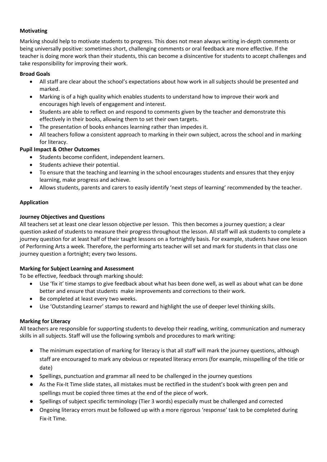# **Motivating**

Marking should help to motivate students to progress. This does not mean always writing in-depth comments or being universally positive: sometimes short, challenging comments or oral feedback are more effective. If the teacher is doing more work than their students, this can become a disincentive for students to accept challenges and take responsibility for improving their work.

# **Broad Goals**

- All staff are clear about the school's expectations about how work in all subjects should be presented and marked.
- Marking is of a high quality which enables students to understand how to improve their work and encourages high levels of engagement and interest.
- Students are able to reflect on and respond to comments given by the teacher and demonstrate this effectively in their books, allowing them to set their own targets.
- The presentation of books enhances learning rather than impedes it.
- All teachers follow a consistent approach to marking in their own subject, across the school and in marking for literacy.

# **Pupil Impact & Other Outcomes**

- Students become confident, independent learners.
- Students achieve their potential.
- To ensure that the teaching and learning in the school encourages students and ensures that they enjoy learning, make progress and achieve.
- Allows students, parents and carers to easily identify 'next steps of learning' recommended by the teacher.

# **Application**

# **Journey Objectives and Questions**

All teachers set at least one clear lesson objective per lesson. This then becomes a journey question; a clear question asked of students to measure their progress throughout the lesson. All staff will ask students to complete a journey question for at least half of their taught lessons on a fortnightly basis. For example, students have one lesson of Performing Arts a week. Therefore, the performing arts teacher will set and mark for students in that class one journey question a fortnight; every two lessons.

# **Marking for Subject Learning and Assessment**

To be effective, feedback through marking should:

- Use 'fix it' time stamps to give feedback about what has been done well, as well as about what can be done better and ensure that students make improvements and corrections to their work.
- Be completed at least every two weeks.
- Use 'Outstanding Learner' stamps to reward and highlight the use of deeper level thinking skills.

# **Marking for Literacy**

All teachers are responsible for supporting students to develop their reading, writing, communication and numeracy skills in all subjects. Staff will use the following symbols and procedures to mark writing:

- The minimum expectation of marking for literacy is that all staff will mark the journey questions, although staff are encouraged to mark any obvious or repeated literacy errors (for example, misspelling of the title or date)
- Spellings, punctuation and grammar all need to be challenged in the journey questions
- As the Fix-It Time slide states, all mistakes must be rectified in the student's book with green pen and spellings must be copied three times at the end of the piece of work.
- Spellings of subject specific terminology (Tier 3 words) especially must be challenged and corrected
- Ongoing literacy errors must be followed up with a more rigorous 'response' task to be completed during Fix-it Time.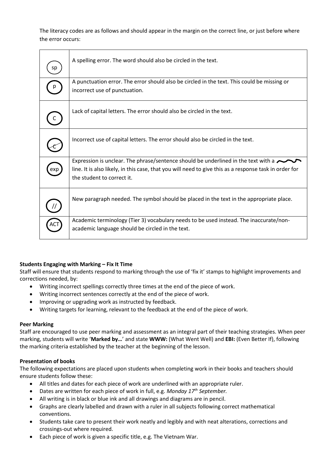The literacy codes are as follows and should appear in the margin on the correct line, or just before where the error occurs:

| sp  | A spelling error. The word should also be circled in the text.                                                                                                                                                                    |
|-----|-----------------------------------------------------------------------------------------------------------------------------------------------------------------------------------------------------------------------------------|
|     | A punctuation error. The error should also be circled in the text. This could be missing or<br>incorrect use of punctuation.                                                                                                      |
|     | Lack of capital letters. The error should also be circled in the text.                                                                                                                                                            |
|     | Incorrect use of capital letters. The error should also be circled in the text.                                                                                                                                                   |
| exp | Expression is unclear. The phrase/sentence should be underlined in the text with a $\sim$<br>line. It is also likely, in this case, that you will need to give this as a response task in order for<br>the student to correct it. |
|     | New paragraph needed. The symbol should be placed in the text in the appropriate place.                                                                                                                                           |
|     | Academic terminology (Tier 3) vocabulary needs to be used instead. The inaccurate/non-<br>academic language should be circled in the text.                                                                                        |

# **Students Engaging with Marking – Fix It Time**

Staff will ensure that students respond to marking through the use of 'fix it' stamps to highlight improvements and corrections needed, by:

- Writing incorrect spellings correctly three times at the end of the piece of work.
- Writing incorrect sentences correctly at the end of the piece of work.
- Improving or upgrading work as instructed by feedback.
- Writing targets for learning, relevant to the feedback at the end of the piece of work.

#### **Peer Marking**

Staff are encouraged to use peer marking and assessment as an integral part of their teaching strategies. When peer marking, students will write '**Marked by…**' and state **WWW:** (What Went Well) and **EBI:** (Even Better If), following the marking criteria established by the teacher at the beginning of the lesson.

#### **Presentation of books**

The following expectations are placed upon students when completing work in their books and teachers should ensure students follow these:

- All titles and dates for each piece of work are underlined with an appropriate ruler.
- Dates are written for each piece of work in full, e.g. *Monday 17th September.*
- All writing is in black or blue ink and all drawings and diagrams are in pencil.
- Graphs are clearly labelled and drawn with a ruler in all subjects following correct mathematical conventions.
- Students take care to present their work neatly and legibly and with neat alterations, corrections and crossings-out where required.
- Each piece of work is given a specific title, e.g. The Vietnam War.